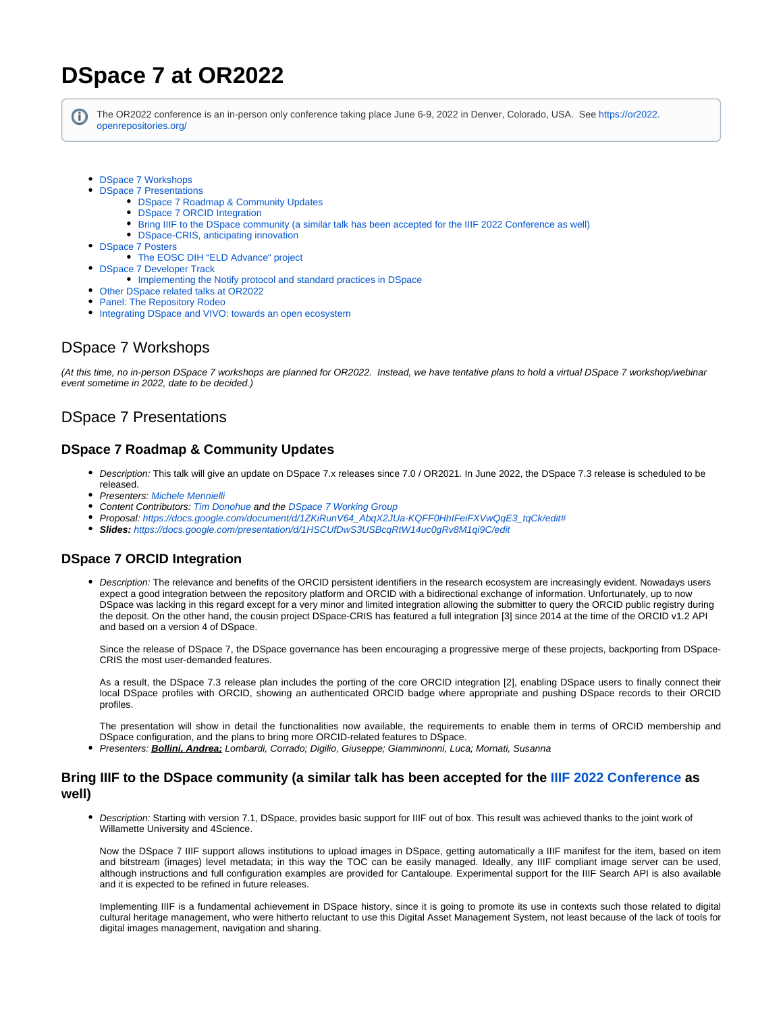# **DSpace 7 at OR2022**

G)

The OR2022 conference is an in-person only conference taking place June 6-9, 2022 in Denver, Colorado, USA. See [https://or2022.](https://or2022.openrepositories.org/) [openrepositories.org/](https://or2022.openrepositories.org/)

- **[DSpace 7 Workshops](#page-0-0)**
- [DSpace 7 Presentations](#page-0-1) • **[DSpace 7 Roadmap & Community Updates](#page-0-2)** 
	- [DSpace 7 ORCID Integration](#page-0-3)
	- [Bring IIIF to the DSpace community \(a similar talk has been accepted for the IIIF 2022 Conference as well\)](#page-0-4)
	- [DSpace-CRIS, anticipating innovation](#page-1-0)
- [DSpace 7 Posters](#page-1-1)
	- [The EOSC DIH "ELD Advance" project](#page-1-2)
- **[DSpace 7 Developer Track](#page-1-3)** 
	- [Implementing the Notify protocol and standard practices in DSpace](#page-1-4)
- [Other DSpace related talks at OR2022](#page-1-5)
- [Panel: The Repository Rodeo](#page-1-6)
- [Integrating DSpace and VIVO: towards an open ecosystem](#page-2-0)

# <span id="page-0-0"></span>DSpace 7 Workshops

(At this time, no in-person DSpace 7 workshops are planned for OR2022. Instead, we have tentative plans to hold a virtual DSpace 7 workshop/webinar event sometime in 2022, date to be decided.)

# <span id="page-0-1"></span>DSpace 7 Presentations

#### <span id="page-0-2"></span>**DSpace 7 Roadmap & Community Updates**

- Description: This talk will give an update on DSpace 7.x releases since 7.0 / OR2021. In June 2022, the DSpace 7.3 release is scheduled to be released.
- Presenters: [Michele Mennielli](https://wiki.lyrasis.org/display/~m.mennielli)
- Content Contributors: [Tim Donohue](https://wiki.lyrasis.org/display/~tdonohue) and the [DSpace 7 Working Group](https://wiki.lyrasis.org/display/DSPACE/DSpace+7+Working+Group)
- Proposal: [https://docs.google.com/document/d/1ZKiRunV64\\_AbqX2JUa-KQFF0HhIFeiFXVwQqE3\\_tqCk/edit#](https://docs.google.com/document/d/1ZKiRunV64_AbqX2JUa-KQFF0HhIFeiFXVwQqE3_tqCk/edit)
- **Slides:** <https://docs.google.com/presentation/d/1HSCUfDwS3USBcqRtW14uc0gRv8M1qi9C/edit>

#### <span id="page-0-3"></span>**DSpace 7 ORCID Integration**

• Description: The relevance and benefits of the ORCID persistent identifiers in the research ecosystem are increasingly evident. Nowadays users expect a good integration between the repository platform and ORCID with a bidirectional exchange of information. Unfortunately, up to now DSpace was lacking in this regard except for a very minor and limited integration allowing the submitter to query the ORCID public registry during the deposit. On the other hand, the cousin project DSpace-CRIS has featured a full integration [3] since 2014 at the time of the ORCID v1.2 API and based on a version 4 of DSpace.

Since the release of DSpace 7, the DSpace governance has been encouraging a progressive merge of these projects, backporting from DSpace-CRIS the most user-demanded features.

As a result, the DSpace 7.3 release plan includes the porting of the core ORCID integration [2], enabling DSpace users to finally connect their local DSpace profiles with ORCID, showing an authenticated ORCID badge where appropriate and pushing DSpace records to their ORCID profiles.

The presentation will show in detail the functionalities now available, the requirements to enable them in terms of ORCID membership and DSpace configuration, and the plans to bring more ORCID-related features to DSpace.

Presenters: **Bollini, Andrea;** Lombardi, Corrado; Digilio, Giuseppe; Giamminonni, Luca; Mornati, Susanna

#### <span id="page-0-4"></span>**Bring IIIF to the DSpace community (a similar talk has been accepted for the [IIIF 2022 Conference](https://iiif.io/event/2022/cambridge/schedule/#session4) as well)**

Description: Starting with version 7.1, DSpace, provides basic support for IIIF out of box. This result was achieved thanks to the joint work of Willamette University and 4Science.

Now the DSpace 7 IIIF support allows institutions to upload images in DSpace, getting automatically a IIIF manifest for the item, based on item and bitstream (images) level metadata; in this way the TOC can be easily managed. Ideally, any IIIF compliant image server can be used, although instructions and full configuration examples are provided for Cantaloupe. Experimental support for the IIIF Search API is also available and it is expected to be refined in future releases.

Implementing IIIF is a fundamental achievement in DSpace history, since it is going to promote its use in contexts such those related to digital cultural heritage management, who were hitherto reluctant to use this Digital Asset Management System, not least because of the lack of tools for digital images management, navigation and sharing.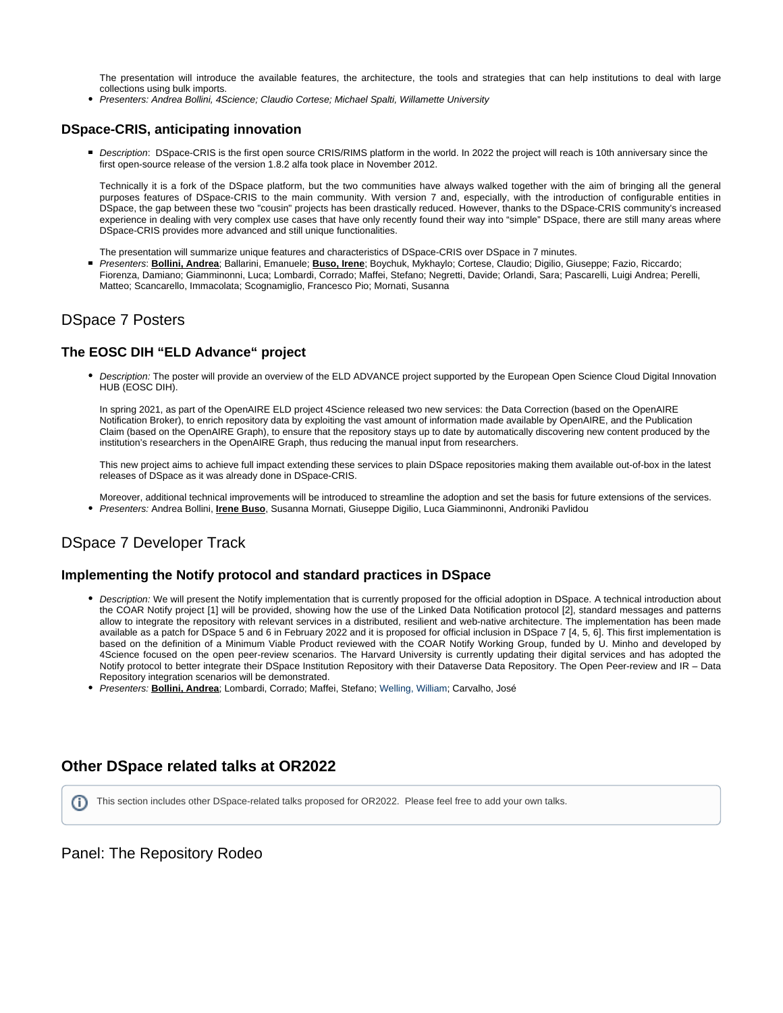The presentation will introduce the available features, the architecture, the tools and strategies that can help institutions to deal with large collections using bulk imports.

Presenters: Andrea Bollini, 4Science; Claudio Cortese; Michael Spalti, Willamette University

#### <span id="page-1-0"></span>**DSpace-CRIS, anticipating innovation**

Description: DSpace-CRIS is the first open source CRIS/RIMS platform in the world. In 2022 the project will reach is 10th anniversary since the first open-source release of the version 1.8.2 alfa took place in November 2012.

Technically it is a fork of the DSpace platform, but the two communities have always walked together with the aim of bringing all the general purposes features of DSpace-CRIS to the main community. With version 7 and, especially, with the introduction of configurable entities in DSpace, the gap between these two "cousin" projects has been drastically reduced. However, thanks to the DSpace-CRIS community's increased experience in dealing with very complex use cases that have only recently found their way into "simple" DSpace, there are still many areas where DSpace-CRIS provides more advanced and still unique functionalities.

- The presentation will summarize unique features and characteristics of DSpace-CRIS over DSpace in 7 minutes.
- Presenters: **Bollini, Andrea**; Ballarini, Emanuele; **Buso, Irene**; Boychuk, Mykhaylo; Cortese, Claudio; Digilio, Giuseppe; Fazio, Riccardo; Fiorenza, Damiano; Giamminonni, Luca; Lombardi, Corrado; Maffei, Stefano; Negretti, Davide; Orlandi, Sara; Pascarelli, Luigi Andrea; Perelli, Matteo; Scancarello, Immacolata; Scognamiglio, Francesco Pio; Mornati, Susanna

## <span id="page-1-1"></span>DSpace 7 Posters

### <span id="page-1-2"></span>**The EOSC DIH "ELD Advance" project**

• Description: The poster will provide an overview of the ELD ADVANCE project supported by the European Open Science Cloud Digital Innovation HUB (EOSC DIH).

In spring 2021, as part of the OpenAIRE ELD project 4Science released two new services: the Data Correction (based on the OpenAIRE Notification Broker), to enrich repository data by exploiting the vast amount of information made available by OpenAIRE, and the Publication Claim (based on the OpenAIRE Graph), to ensure that the repository stays up to date by automatically discovering new content produced by the institution's researchers in the OpenAIRE Graph, thus reducing the manual input from researchers.

This new project aims to achieve full impact extending these services to plain DSpace repositories making them available out-of-box in the latest releases of DSpace as it was already done in DSpace-CRIS.

Moreover, additional technical improvements will be introduced to streamline the adoption and set the basis for future extensions of the services. Presenters: Andrea Bollini, **Irene Buso**, Susanna Mornati, Giuseppe Digilio, Luca Giamminonni, Androniki Pavlidou

# <span id="page-1-3"></span>DSpace 7 Developer Track

#### <span id="page-1-4"></span>**Implementing the Notify protocol and standard practices in DSpace**

- Description: We will present the Notify implementation that is currently proposed for the official adoption in DSpace. A technical introduction about the COAR Notify project [1] will be provided, showing how the use of the Linked Data Notification protocol [2], standard messages and patterns allow to integrate the repository with relevant services in a distributed, resilient and web-native architecture. The implementation has been made available as a patch for DSpace 5 and 6 in February 2022 and it is proposed for official inclusion in DSpace 7 [4, 5, 6]. This first implementation is based on the definition of a Minimum Viable Product reviewed with the COAR Notify Working Group, funded by U. Minho and developed by 4Science focused on the open peer-review scenarios. The Harvard University is currently updating their digital services and has adopted the Notify protocol to better integrate their DSpace Institution Repository with their Dataverse Data Repository. The Open Peer-review and IR – Data Repository integration scenarios will be demonstrated.
- Presenters: **Bollini, Andrea**; Lombardi, Corrado; Maffei, Stefano; Welling, William; Carvalho, José

# <span id="page-1-5"></span>**Other DSpace related talks at OR2022**

This section includes other DSpace-related talks proposed for OR2022. Please feel free to add your own talks.

#### <span id="page-1-6"></span>Panel: The Repository Rodeo